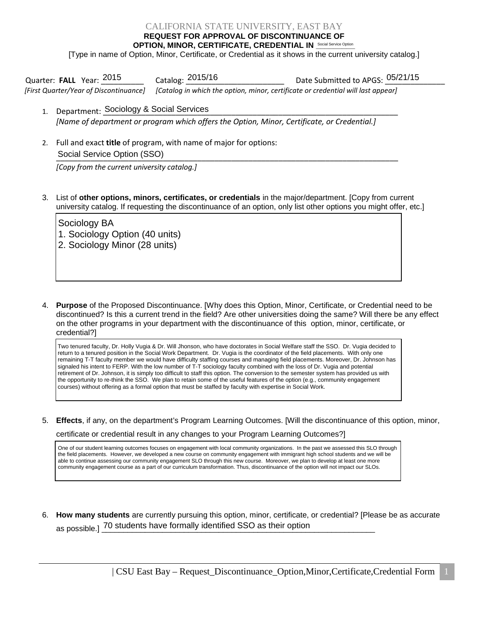## CALIFORNIA STATE UNIVERSITY, EAST BAY

**REQUEST FOR APPROVAL OF DISCONTINUANCE OF** 

**OPTION, MINOR, CERTIFICATE, CREDENTIAL IN SOCIAL SERVICE Option** [Type in name of Option, Minor, Certificate, or Credential as it shows in the current university catalog.]

Quarter: FALL Year: <sup>2015</sup> Catalog: <sup>2015/16</sup> Date Submitted to APGS: <sup>05/21/15</sup> *[First Quarter/Year of Discontinuance] [Catalog in which the option, minor, certificate or credential will last appear]* 

- 1. Department: Sociology & Social Services and the contract of the contract of the contract of the contract of *[Name of department or program which offers the Option, Minor, Certificate, or Credential.]*
- 2. Full and exact **title** of program, with name of major for options: \_\_\_\_\_\_\_\_\_\_\_\_\_\_\_\_\_\_\_\_\_\_\_\_\_\_\_\_\_\_\_\_\_\_\_\_\_\_\_\_\_\_\_\_\_\_\_\_\_\_\_\_\_\_\_\_\_\_\_\_\_\_\_\_\_\_\_\_\_\_\_\_\_\_\_\_\_\_\_\_ Social Service Option (SSO)

*[Copy from the current university catalog.]*

3. List of **other options, minors, certificates, or credentials** in the major/department. [Copy from current university catalog. If requesting the discontinuance of an option, only list other options you might offer, etc.]

Sociology BA 1. Sociology Option (40 units) 2. Sociology Minor (28 units)

4. **Purpose** of the Proposed Discontinuance. [Why does this Option, Minor, Certificate, or Credential need to be discontinued? Is this a current trend in the field? Are other universities doing the same? Will there be any effect on the other programs in your department with the discontinuance of this option, minor, certificate, or credential?]

Two tenured faculty, Dr. Holly Vugia & Dr. Will Jhonson, who have doctorates in Social Welfare staff the SSO. Dr. Vugia decided to return to a tenured position in the Social Work Department. Dr. Vugia is the coordinator of the field placements. With only one remaining T-T faculty member we would have difficulty staffing courses and managing field placements. Moreover, Dr. Johnson has signaled his intent to FERP. With the low number of T-T sociology faculty combined with the loss of Dr. Vugia and potential retirement of Dr. Johnson, it is simply too difficult to staff this option. The conversion to the semester system has provided us with the opportunity to re-think the SSO. We plan to retain some of the useful features of the option (e.g., community engagement courses) without offering as a formal option that must be staffed by faculty with expertise in Social Work.

5. **Effects**, if any, on the department's Program Learning Outcomes. [Will the discontinuance of this option, minor,

certificate or credential result in any changes to your Program Learning Outcomes?]

One of our student learning outcomes focuses on engagement with local community organizations. In the past we assessed this SLO through the field placements. However, we developed a new course on community engagement with immigrant high school students and we will be able to continue assessing our community engagement SLO through this new course. Moreover, we plan to develop at least one more community engagement course as a part of our curriculum transformation. Thus, discontinuance of the option will not impact our SLOs.

6. **How many students** are currently pursuing this option, minor, certificate, or credential? [Please be as accurate as possible.] TO students have formally identified SSO as their option